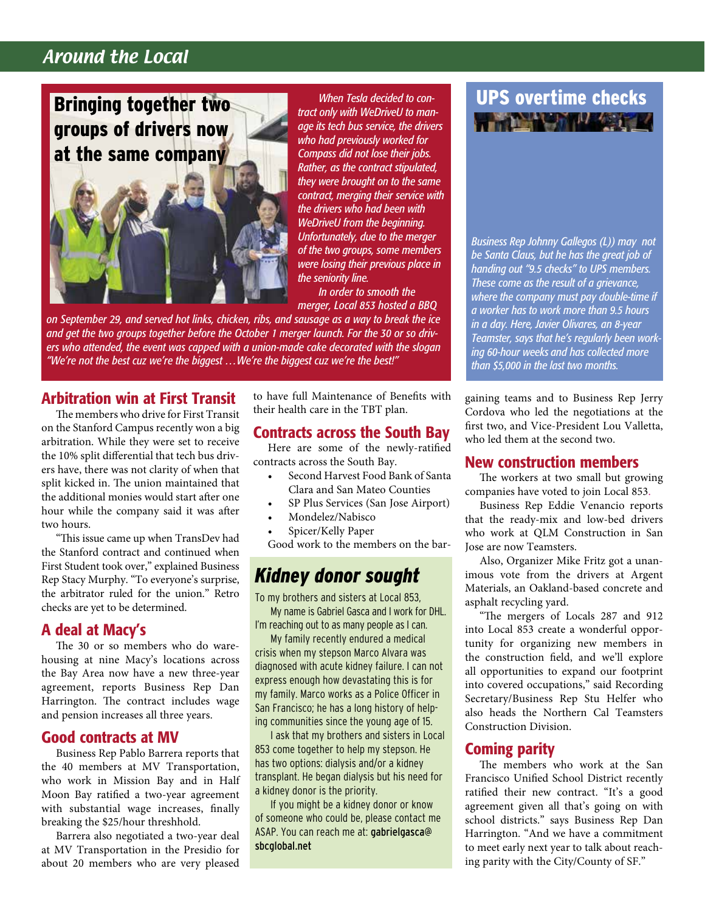### Around the Local

Bringing together two groups of drivers now at the same company



*When Tesla decided to contract only with WeDriveU to manage its tech bus service, the drivers who had previously worked for Compass did not lose their jobs. Rather, as the contract stipulated, they were brought on to the same contract, merging their service with the drivers who had been with WeDriveU from the beginning. Unfortunately, due to the merger of the two groups, some members were losing their previous place in the seniority line.*

*In order to smooth the merger, Local 853 hosted a BBQ* 

*on September 29, and served hot links, chicken, ribs, and sausage as a way to break the ice and get the two groups together before the October 1 merger launch. For the 30 or so drivers who attended, the event was capped with a union-made cake decorated with the slogan "We're not the best cuz we're the biggest …We're the biggest cuz we're the best!"*

#### Arbitration win at First Transit

The members who drive for First Transit on the Stanford Campus recently won a big arbitration. While they were set to receive the 10% split differential that tech bus drivers have, there was not clarity of when that split kicked in. The union maintained that the additional monies would start after one hour while the company said it was after two hours.

"This issue came up when TransDev had the Stanford contract and continued when First Student took over," explained Business Rep Stacy Murphy. "To everyone's surprise, the arbitrator ruled for the union." Retro checks are yet to be determined.

#### A deal at Macy's

The 30 or so members who do warehousing at nine Macy's locations across the Bay Area now have a new three-year agreement, reports Business Rep Dan Harrington. The contract includes wage and pension increases all three years.

#### Good contracts at MV

Business Rep Pablo Barrera reports that the 40 members at MV Transportation, who work in Mission Bay and in Half Moon Bay ratified a two-year agreement with substantial wage increases, finally breaking the \$25/hour threshhold.

Barrera also negotiated a two-year deal at MV Transportation in the Presidio for about 20 members who are very pleased

to have full Maintenance of Benefits with their health care in the TBT plan.

#### Contracts across the South Bay

Here are some of the newly-ratified contracts across the South Bay.

- Second Harvest Food Bank of Santa Clara and San Mateo Counties
- SP Plus Services (San Jose Airport)
- Mondelez/Nabisco
- Spicer/Kelly Paper

Good work to the members on the bar-

### *Kidney donor sought*

To my brothers and sisters at Local 853,

My name is Gabriel Gasca and I work for DHL. I'm reaching out to as many people as I can.

My family recently endured a medical crisis when my stepson Marco Alvara was diagnosed with acute kidney failure. I can not express enough how devastating this is for my family. Marco works as a Police Officer in San Francisco; he has a long history of helping communities since the young age of 15.

I ask that my brothers and sisters in Local 853 come together to help my stepson. He has two options: dialysis and/or a kidney transplant. He began dialysis but his need for a kidney donor is the priority.

If you might be a kidney donor or know of someone who could be, please contact me ASAP. You can reach me at: gabrielgasca@ sbcglobal.net

# UPS overtime checks

*Business Rep Johnny Gallegos (L)) may not be Santa Claus, but he has the great job of handing out "9.5 checks" to UPS members. These come as the result of a grievance, where the company must pay double-time if a worker has to work more than 9.5 hours in a day. Here, Javier Olivares, an 8-year Teamster, says that he's regularly been working 60-hour weeks and has collected more than \$5,000 in the last two months.*

gaining teams and to Business Rep Jerry Cordova who led the negotiations at the first two, and Vice-President Lou Valletta, who led them at the second two.

#### New construction members

The workers at two small but growing companies have voted to join Local 853.

Business Rep Eddie Venancio reports that the ready-mix and low-bed drivers who work at QLM Construction in San Jose are now Teamsters.

Also, Organizer Mike Fritz got a unanimous vote from the drivers at Argent Materials, an Oakland-based concrete and asphalt recycling yard.

"The mergers of Locals 287 and 912 into Local 853 create a wonderful opportunity for organizing new members in the construction field, and we'll explore all opportunities to expand our footprint into covered occupations," said Recording Secretary/Business Rep Stu Helfer who also heads the Northern Cal Teamsters Construction Division.

#### Coming parity

The members who work at the San Francisco Unified School District recently ratified their new contract. "It's a good agreement given all that's going on with school districts." says Business Rep Dan Harrington. "And we have a commitment to meet early next year to talk about reaching parity with the City/County of SF."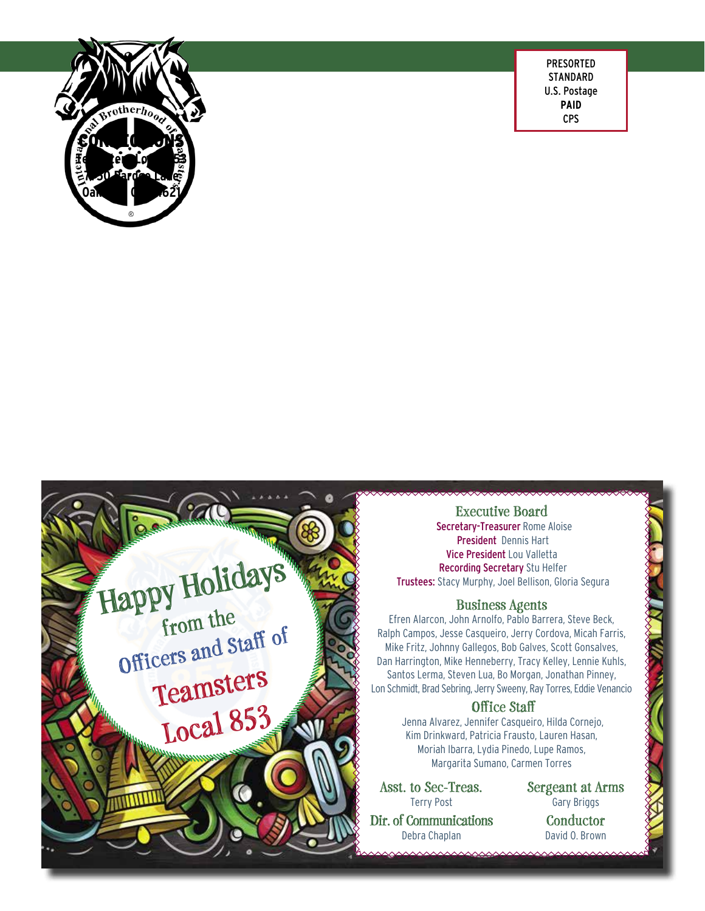

PRESORTED **STANDARD** U.S. Postage **PAID** CPS



**Executive Board** Secretary-Treasurer Rome Aloise President Dennis Hart Vice President Lou Valletta Recording Secretary Stu Helfer Trustees: Stacy Murphy, Joel Bellison, Gloria Segura

#### **Business Agents**

Efren Alarcon, John Arnolfo, Pablo Barrera, Steve Beck, Ralph Campos, Jesse Casqueiro, Jerry Cordova, Micah Farris, Mike Fritz, Johnny Gallegos, Bob Galves, Scott Gonsalves, Dan Harrington, Mike Henneberry, Tracy Kelley, Lennie Kuhls, Santos Lerma, Steven Lua, Bo Morgan, Jonathan Pinney, Lon Schmidt, Brad Sebring, Jerry Sweeny, Ray Torres, Eddie Venancio

#### **Office Staff**

Jenna Alvarez, Jennifer Casqueiro, Hilda Cornejo, Kim Drinkward, Patricia Frausto, Lauren Hasan, Moriah Ibarra, Lydia Pinedo, Lupe Ramos, Margarita Sumano, Carmen Torres

**Asst. to Sec-Treas.** Terry Post **Dir. of Communications**

Debra Chaplan

**Sergeant at Arms** Gary Briggs **Conductor** David O. Brown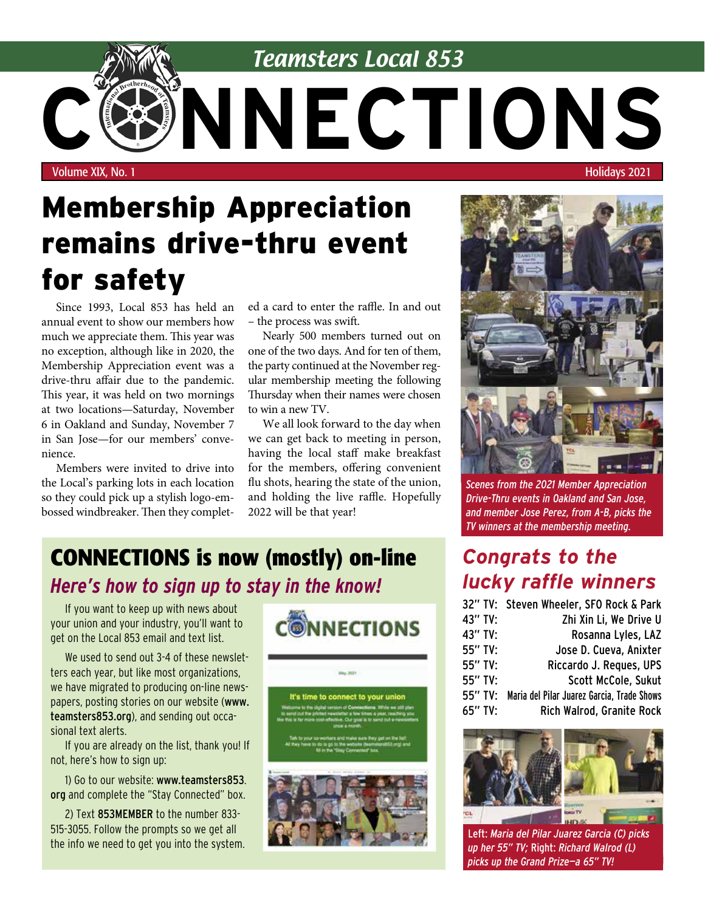

# Membership Appreciation remains drive-thru event for safety

Since 1993, Local 853 has held an annual event to show our members how much we appreciate them. This year was no exception, although like in 2020, the Membership Appreciation event was a drive-thru affair due to the pandemic. This year, it was held on two mornings at two locations—Saturday, November 6 in Oakland and Sunday, November 7 in San Jose—for our members' convenience.

Members were invited to drive into the Local's parking lots in each location so they could pick up a stylish logo-embossed windbreaker. Then they complet-

ed a card to enter the raffle. In and out – the process was swift.

Nearly 500 members turned out on one of the two days. And for ten of them, the party continued at the November regular membership meeting the following Thursday when their names were chosen to win a new TV.

We all look forward to the day when we can get back to meeting in person, having the local staff make breakfast for the members, offering convenient flu shots, hearing the state of the union, and holding the live raffle. Hopefully 2022 will be that year!

### **CONNECTIONS is now (mostly) on-line** *Here's how to sign up to stay in the know!*

If you want to keep up with news about your union and your industry, you'll want to get on the Local 853 email and text list.

We used to send out 3-4 of these newsletters each year, but like most organizations, we have migrated to producing on-line newspapers, posting stories on our website (www. teamsters853.org), and sending out occasional text alerts.

If you are already on the list, thank you! If not, here's how to sign up:

1) Go to our website: www.teamsters853. org and complete the "Stay Connected" box.

2) Text 853MEMBER to the number 833- 515-3055. Follow the prompts so we get all the info we need to get you into the system.





*Scenes from the 2021 Member Appreciation Drive-Thru events in Oakland and San Jose, and member Jose Perez, from A-B, picks the TV winners at the membership meeting.*

### *Congrats to the lucky raffle winners*

|           | 32" TV: Steven Wheeler, SFO Rock & Park            |
|-----------|----------------------------------------------------|
|           |                                                    |
| 43" TV:   | Zhi Xin Li, We Drive U                             |
| 43" TV:   | Rosanna Lyles, LAZ                                 |
| 55" TV:   | Jose D. Cueva, Anixter                             |
| 55" TV:   | Riccardo J. Reques, UPS                            |
| $55"$ TV: | Scott McCole, Sukut                                |
|           | 55" TV: Maria del Pilar Juarez Garcia, Trade Shows |
| $65"$ TV: | <b>Rich Walrod, Granite Rock</b>                   |



Left: *Maria del Pilar Juarez Garcia (C) picks up her 55" TV;* Right: *Richard Walrod (L) picks up the Grand Prize—a 65" TV!*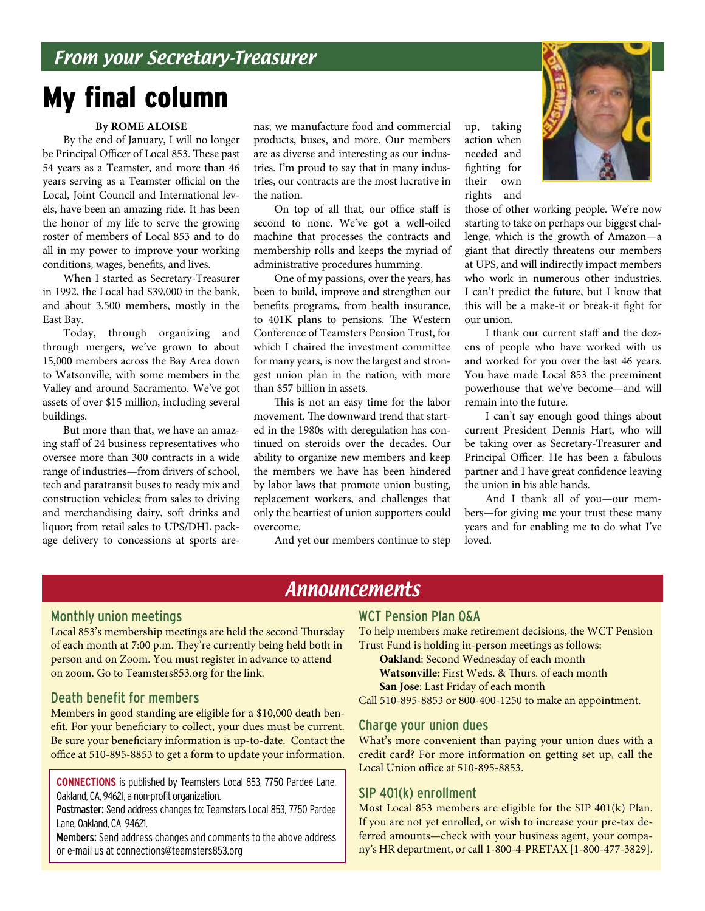# My final column

#### **By ROME ALOISE**

By the end of January, I will no longer be Principal Officer of Local 853. These past 54 years as a Teamster, and more than 46 years serving as a Teamster official on the Local, Joint Council and International levels, have been an amazing ride. It has been the honor of my life to serve the growing roster of members of Local 853 and to do all in my power to improve your working conditions, wages, benefits, and lives.

When I started as Secretary-Treasurer in 1992, the Local had \$39,000 in the bank, and about 3,500 members, mostly in the East Bay.

Today, through organizing and through mergers, we've grown to about 15,000 members across the Bay Area down to Watsonville, with some members in the Valley and around Sacramento. We've got assets of over \$15 million, including several buildings.

But more than that, we have an amazing staff of 24 business representatives who oversee more than 300 contracts in a wide range of industries—from drivers of school, tech and paratransit buses to ready mix and construction vehicles; from sales to driving and merchandising dairy, soft drinks and liquor; from retail sales to UPS/DHL package delivery to concessions at sports arenas; we manufacture food and commercial products, buses, and more. Our members are as diverse and interesting as our industries. I'm proud to say that in many industries, our contracts are the most lucrative in the nation.

On top of all that, our office staff is second to none. We've got a well-oiled machine that processes the contracts and membership rolls and keeps the myriad of administrative procedures humming.

One of my passions, over the years, has been to build, improve and strengthen our benefits programs, from health insurance, to 401K plans to pensions. The Western Conference of Teamsters Pension Trust, for which I chaired the investment committee for many years, is now the largest and strongest union plan in the nation, with more than \$57 billion in assets.

This is not an easy time for the labor movement. The downward trend that started in the 1980s with deregulation has continued on steroids over the decades. Our ability to organize new members and keep the members we have has been hindered by labor laws that promote union busting, replacement workers, and challenges that only the heartiest of union supporters could overcome.

And yet our members continue to step

up, taking action when needed and fighting for their own rights and



those of other working people. We're now starting to take on perhaps our biggest challenge, which is the growth of Amazon—a giant that directly threatens our members at UPS, and will indirectly impact members who work in numerous other industries. I can't predict the future, but I know that this will be a make-it or break-it fight for our union.

I thank our current staff and the dozens of people who have worked with us and worked for you over the last 46 years. You have made Local 853 the preeminent powerhouse that we've become—and will remain into the future.

I can't say enough good things about current President Dennis Hart, who will be taking over as Secretary-Treasurer and Principal Officer. He has been a fabulous partner and I have great confidence leaving the union in his able hands.

And I thank all of you—our members—for giving me your trust these many years and for enabling me to do what I've loved.

### **Announcements**

#### Monthly union meetings

Local 853's membership meetings are held the second Thursday of each month at 7:00 p.m. They're currently being held both in person and on Zoom. You must register in advance to attend on zoom. Go to Teamsters853.org for the link.

#### Death benefit for members

Members in good standing are eligible for a \$10,000 death benefit. For your beneficiary to collect, your dues must be current. Be sure your beneficiary information is up-to-date. Contact the office at 510-895-8853 to get a form to update your information.

**CONNECTIONS** is published by Teamsters Local 853, 7750 Pardee Lane, Oakland, CA, 94621, a non-profit organization.

Postmaster: Send address changes to: Teamsters Local 853, 7750 Pardee Lane, Oakland, CA 94621.

Members: Send address changes and comments to the above address or e-mail us at connections@teamsters853.org

#### WCT Pension Plan Q&A

To help members make retirement decisions, the WCT Pension Trust Fund is holding in-person meetings as follows:

**Oakland**: Second Wednesday of each month

**Watsonville**: First Weds. & Thurs. of each month

**San Jose**: Last Friday of each month

Call 510-895-8853 or 800-400-1250 to make an appointment.

#### Charge your union dues

What's more convenient than paying your union dues with a credit card? For more information on getting set up, call the Local Union office at 510-895-8853.

#### SIP 401(k) enrollment

Most Local 853 members are eligible for the SIP 401(k) Plan. If you are not yet enrolled, or wish to increase your pre-tax deferred amounts—check with your business agent, your company's HR department, or call 1-800-4-PRETAX [1-800-477-3829].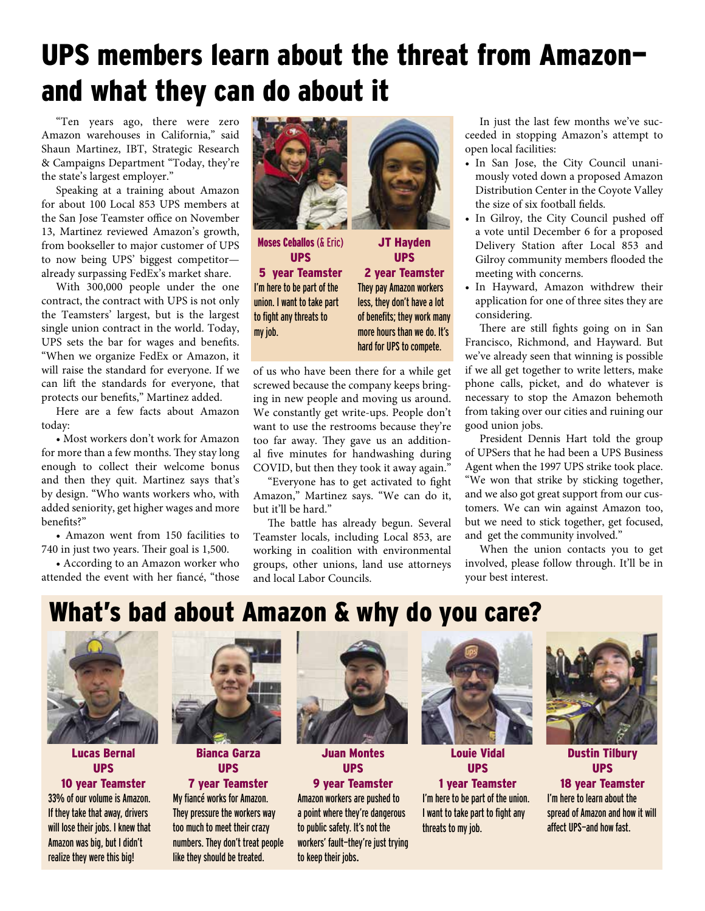# UPS members learn about the threat from Amazon and what they can do about it

"Ten years ago, there were zero Amazon warehouses in California," said Shaun Martinez, IBT, Strategic Research & Campaigns Department "Today, they're the state's largest employer."

Speaking at a training about Amazon for about 100 Local 853 UPS members at the San Jose Teamster office on November 13, Martinez reviewed Amazon's growth, from bookseller to major customer of UPS to now being UPS' biggest competitor already surpassing FedEx's market share.

With 300,000 people under the one contract, the contract with UPS is not only the Teamsters' largest, but is the largest single union contract in the world. Today, UPS sets the bar for wages and benefits. "When we organize FedEx or Amazon, it will raise the standard for everyone. If we can lift the standards for everyone, that protects our benefits," Martinez added.

Here are a few facts about Amazon today:

• Most workers don't work for Amazon for more than a few months. They stay long enough to collect their welcome bonus and then they quit. Martinez says that's by design. "Who wants workers who, with added seniority, get higher wages and more benefits?"

• Amazon went from 150 facilities to 740 in just two years. Their goal is 1,500.

• According to an Amazon worker who attended the event with her fiancé, "those



Moses Ceballos (& Eric) UPS 5 year Teamster I'm here to be part of the union. I want to take part to fight any threats to my job.

JT Hayden UPS 2 year Teamster They pay Amazon workers less, they don't have a lot of benefits; they work many more hours than we do. It's hard for UPS to compete.

of us who have been there for a while get screwed because the company keeps bringing in new people and moving us around. We constantly get write-ups. People don't want to use the restrooms because they're too far away. They gave us an additional five minutes for handwashing during COVID, but then they took it away again."

"Everyone has to get activated to fight Amazon," Martinez says. "We can do it, but it'll be hard."

The battle has already begun. Several Teamster locals, including Local 853, are working in coalition with environmental groups, other unions, land use attorneys and local Labor Councils.

In just the last few months we've succeeded in stopping Amazon's attempt to open local facilities:

- In San Jose, the City Council unanimously voted down a proposed Amazon Distribution Center in the Coyote Valley the size of six football fields.
- In Gilroy, the City Council pushed off a vote until December 6 for a proposed Delivery Station after Local 853 and Gilroy community members flooded the meeting with concerns.
- In Hayward, Amazon withdrew their application for one of three sites they are considering.

There are still fights going on in San Francisco, Richmond, and Hayward. But we've already seen that winning is possible if we all get together to write letters, make phone calls, picket, and do whatever is necessary to stop the Amazon behemoth from taking over our cities and ruining our good union jobs.

President Dennis Hart told the group of UPSers that he had been a UPS Business Agent when the 1997 UPS strike took place. "We won that strike by sticking together, and we also got great support from our customers. We can win against Amazon too, but we need to stick together, get focused, and get the community involved."

When the union contacts you to get involved, please follow through. It'll be in your best interest.

## What's bad about Amazon & why do you care?



Lucas Bernal UPS

10 year Teamster 33% of our volume is Amazon. If they take that away, drivers will lose their jobs. I knew that Amazon was big, but I didn't realize they were this big!



Bianca Garza UPS

#### 7 year Teamster

My fiancé works for Amazon. They pressure the workers way too much to meet their crazy numbers. They don't treat people like they should be treated.



Juan Montes UPS

9 year Teamster

Amazon workers are pushed to a point where they're dangerous to public safety. It's not the workers' fault—they're just trying to keep their jobs.



Louie Vidal UPS

#### 1 year Teamster

I'm here to be part of the union. I want to take part to fight any threats to my job.



Dustin Tilbury UPS

18 year Teamster I'm here to learn about the spread of Amazon and how it will affect UPS—and how fast.